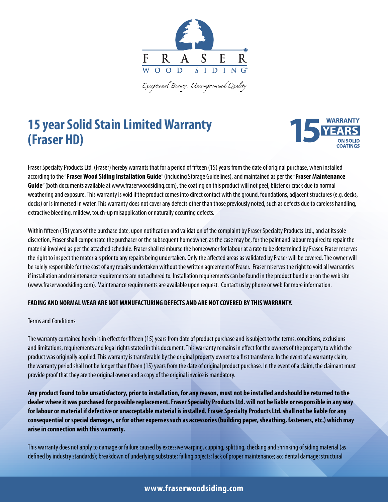

.<br>Exceptional Beauty. Uncompromised Quality.

# **15 year Solid Stain Limited Warranty (Fraser HD)**



Fraser Specialty Products Ltd. (Fraser) hereby warrants that for a period of fifteen (15) years from the date of original purchase, when installed according to the "**Fraser Wood Siding Installation Guide**" (including Storage Guidelines), and maintained as per the "**Fraser Maintenance Guide**" (both documents available at www.fraserwoodsiding.com), the coating on this product will not peel, blister or crack due to normal weathering and exposure. This warranty is void if the product comes into direct contact with the ground, foundations, adjacent structures (e.g. decks, docks) or is immersed in water. This warranty does not cover any defects other than those previously noted, such as defects due to careless handling, extractive bleeding, mildew, touch-up misapplication or naturally occurring defects.

Within fifteen (15) years of the purchase date, upon notification and validation of the complaint by Fraser Specialty Products Ltd., and at its sole discretion, Fraser shall compensate the purchaser or the subsequent homeowner, as the case may be, for the paint and labour required to repair the material involved as per the attached schedule. Fraser shall reimburse the homeowner for labour at a rate to be determined by Fraser. Fraser reserves the right to inspect the materials prior to any repairs being undertaken. Only the affected areas as validated by Fraser will be covered. The owner will be solely responsible for the cost of any repairs undertaken without the written agreement of Fraser. Fraser reserves the right to void all warranties if installation and maintenance requirements are not adhered to. Installation requirements can be found in the product bundle or on the web site (www.fraserwoodsiding.com). Maintenance requirements are available upon request. Contact us by phone or web for more information.

## **FADING AND NORMAL WEAR ARE NOT MANUFACTURING DEFECTS AND ARE NOT COVERED BY THIS WARRANTY.**

## Terms and Conditions

The warranty contained herein is in effect for fifteen (15) years from date of product purchase and is subject to the terms, conditions, exclusions and limitations, requirements and legal rights stated in this document. This warranty remains in effect for the owners of the property to which the product was originally applied. This warranty is transferable by the original property owner to a first transferee. In the event of a warranty claim, the warranty period shall not be longer than fifteen (15) years from the date of original product purchase. In the event of a claim, the claimant must provide proof that they are the original owner and a copy of the original invoice is mandatory.

**Any product found to be unsatisfactory, prior to installation, for any reason, must not be installed and should be returned to the dealer where it was purchased for possible replacement. Fraser Specialty Products Ltd. will not be liable or responsible in any way for labour or material if defective or unacceptable material is installed. Fraser Specialty Products Ltd. shall not be liable for any consequential or special damages, or for other expenses such as accessories (building paper, sheathing, fasteners, etc.) which may arise in connection with this warranty.**

This warranty does not apply to damage or failure caused by excessive warping, cupping, splitting, checking and shrinking of siding material (as defined by industry standards); breakdown of underlying substrate; falling objects; lack of proper maintenance; accidental damage; structural

## **www.fraserwoodsiding.com**